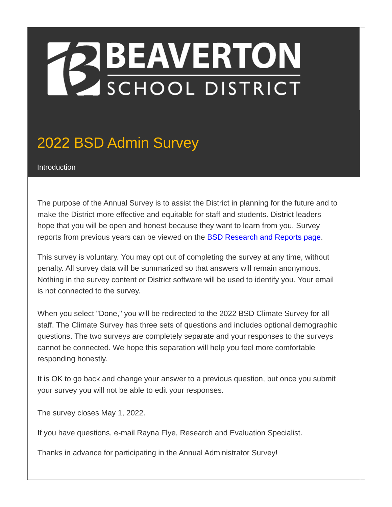# **EXPEAVERTON**<br>SCHOOL DISTRICT

### 2022 BSD Admin Survey

Introduction

The purpose of the Annual Survey is to assist the District in planning for the future and to make the District more effective and equitable for staff and students. District leaders hope that you will be open and honest because they want to learn from you. Survey reports from previous years can be viewed on the **BSD [Research](https://www.beaverton.k12.or.us/departments/accountability/research-reports) and Reports page**.

This survey is voluntary. You may opt out of completing the survey at any time, without penalty. All survey data will be summarized so that answers will remain anonymous. Nothing in the survey content or District software will be used to identify you. Your email is not connected to the survey.

When you select "Done," you will be redirected to the 2022 BSD Climate Survey for all staff. The Climate Survey has three sets of questions and includes optional demographic questions. The two surveys are completely separate and your responses to the surveys cannot be connected. We hope this separation will help you feel more comfortable responding honestly.

It is OK to go back and change your answer to a previous question, but once you submit your survey you will not be able to edit your responses.

The survey closes May 1, 2022.

If you have questions, e-mail Rayna Flye, Research and Evaluation Specialist.

Thanks in advance for participating in the Annual Administrator Survey!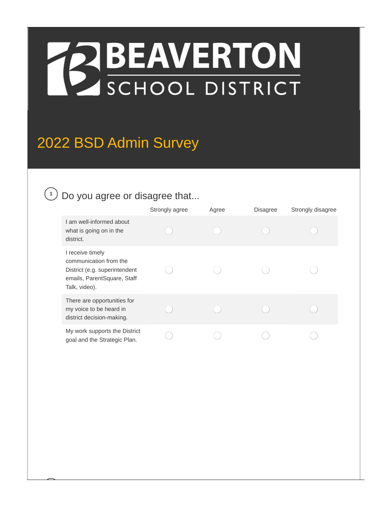# **EXPEAVERTON**<br>SCHOOL DISTRICT

### 2022 BSD Admin Survey

#### $\mathcal{D}$  Do you agree or disagree that...

|                                                                                                                             | Strongly agree | Agree | <b>Disagree</b> | Strongly disagree |
|-----------------------------------------------------------------------------------------------------------------------------|----------------|-------|-----------------|-------------------|
| I am well-informed about<br>what is going on in the<br>district.                                                            |                |       |                 |                   |
| I receive timely<br>communication from the<br>District (e.g. superintendent<br>emails, ParentSquare, Staff<br>Talk, video). |                |       |                 |                   |
| There are opportunities for<br>my voice to be heard in<br>district decision-making.                                         |                |       |                 |                   |
| My work supports the District<br>goal and the Strategic Plan.                                                               |                |       |                 |                   |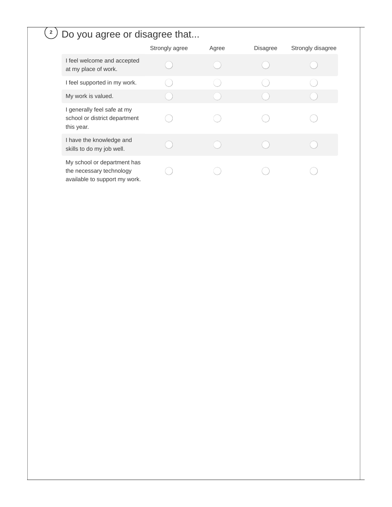#### Do you agree or disagree that... **2**

|                                                                                          | Strongly agree | Agree | <b>Disagree</b> | Strongly disagree |
|------------------------------------------------------------------------------------------|----------------|-------|-----------------|-------------------|
| I feel welcome and accepted<br>at my place of work.                                      |                |       |                 |                   |
| I feel supported in my work.                                                             |                |       |                 |                   |
| My work is valued.                                                                       |                |       |                 |                   |
| I generally feel safe at my<br>school or district department<br>this year.               |                |       |                 |                   |
| I have the knowledge and<br>skills to do my job well.                                    |                |       |                 |                   |
| My school or department has<br>the necessary technology<br>available to support my work. |                |       |                 |                   |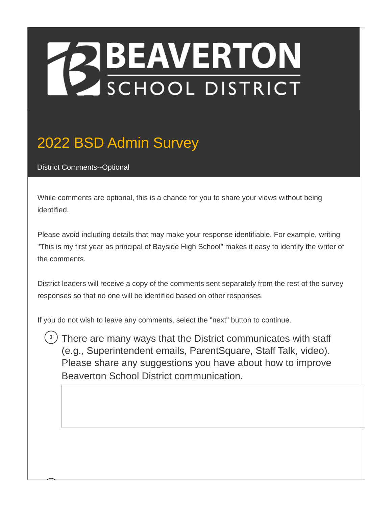# **BEAVERTON**

### 2022 BSD Admin Survey

District Comments--Optional

While comments are optional, this is a chance for you to share your views without being identified.

Please avoid including details that may make your response identifiable. For example, writing "This is my first year as principal of Bayside High School" makes it easy to identify the writer of the comments.

District leaders will receive a copy of the comments sent separately from the rest of the survey responses so that no one will be identified based on other responses.

If you do not wish to leave any comments, select the "next" button to continue.

There are many ways that the District communicates with staff **3**(e.g., Superintendent emails, ParentSquare, Staff Talk, video). Please share any suggestions you have about how to improve Beaverton School District communication.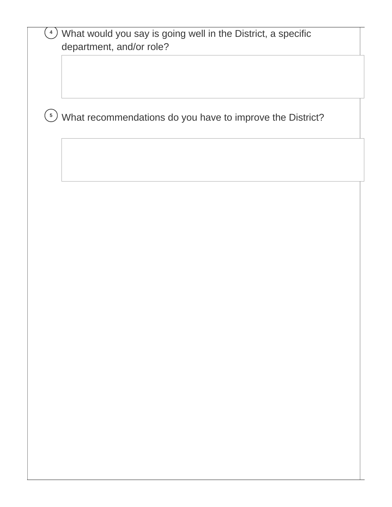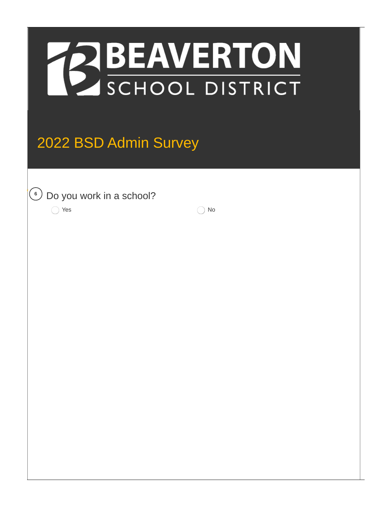

### 2022 BSD Admin Survey

Do you work in a school? \* **<sup>6</sup>**

 $\bigcap$  Yes  $\bigcap$  No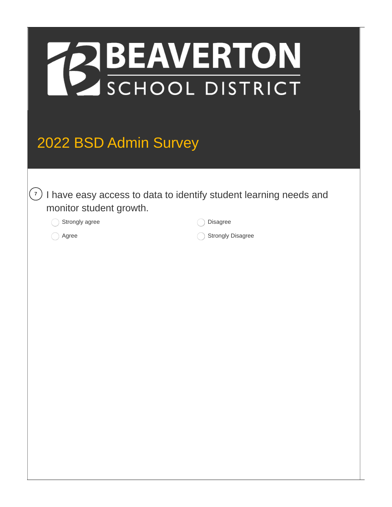

### 2022 BSD Admin Survey

<sup>7</sup>) I have easy access to data to identify student learning needs and monitor student growth.

Strongly agree

Disagree

Agree

Strongly Disagree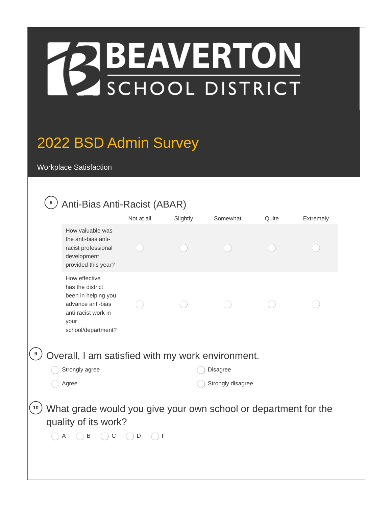

### 2022 BSD Admin Survey

Workplace Satisfaction

#### Anti-Bias Anti-Racist (ABAR) **8**

|                                                   |                                                                                                                                    | Not at all        | Slightly | Somewhat | Quite | Extremely |  |
|---------------------------------------------------|------------------------------------------------------------------------------------------------------------------------------------|-------------------|----------|----------|-------|-----------|--|
|                                                   | How valuable was<br>the anti-bias anti-<br>racist professional<br>development<br>provided this year?                               |                   |          |          |       |           |  |
|                                                   | How effective<br>has the district<br>been in helping you<br>advance anti-bias<br>anti-racist work in<br>your<br>school/department? |                   |          |          |       |           |  |
| Overall, I am satisfied with my work environment. |                                                                                                                                    |                   |          |          |       |           |  |
|                                                   | Strongly agree<br>Disagree                                                                                                         |                   |          |          |       |           |  |
|                                                   | Agree                                                                                                                              | Strongly disagree |          |          |       |           |  |
| 10                                                | What grade would you give your own school or department for the<br>quality of its work?<br>B<br>A<br>C                             | F<br>D            |          |          |       |           |  |